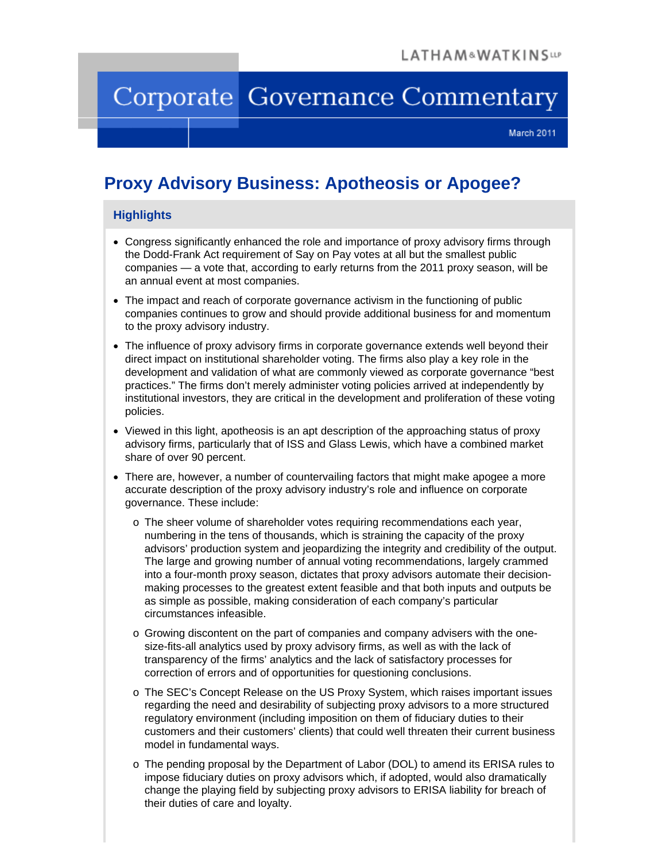# Corporate Governance Commentary

March 2011

# **Proxy Advisory Business: Apotheosis or Apogee?**

#### **Highlights**

- Congress significantly enhanced the role and importance of proxy advisory firms through the Dodd-Frank Act requirement of Say on Pay votes at all but the smallest public companies — a vote that, according to early returns from the 2011 proxy season, will be an annual event at most companies.
- The impact and reach of corporate governance activism in the functioning of public companies continues to grow and should provide additional business for and momentum to the proxy advisory industry.
- The influence of proxy advisory firms in corporate governance extends well beyond their direct impact on institutional shareholder voting. The firms also play a key role in the development and validation of what are commonly viewed as corporate governance "best practices." The firms don't merely administer voting policies arrived at independently by institutional investors, they are critical in the development and proliferation of these voting policies.
- Viewed in this light, apotheosis is an apt description of the approaching status of proxy advisory firms, particularly that of ISS and Glass Lewis, which have a combined market share of over 90 percent.
- There are, however, a number of countervailing factors that might make apogee a more accurate description of the proxy advisory industry's role and influence on corporate governance. These include:
	- o The sheer volume of shareholder votes requiring recommendations each year, numbering in the tens of thousands, which is straining the capacity of the proxy advisors' production system and jeopardizing the integrity and credibility of the output. The large and growing number of annual voting recommendations, largely crammed into a four-month proxy season, dictates that proxy advisors automate their decisionmaking processes to the greatest extent feasible and that both inputs and outputs be as simple as possible, making consideration of each company's particular circumstances infeasible.
	- o Growing discontent on the part of companies and company advisers with the onesize-fits-all analytics used by proxy advisory firms, as well as with the lack of transparency of the firms' analytics and the lack of satisfactory processes for correction of errors and of opportunities for questioning conclusions.
	- o The SEC's Concept Release on the US Proxy System, which raises important issues regarding the need and desirability of subjecting proxy advisors to a more structured regulatory environment (including imposition on them of fiduciary duties to their customers and their customers' clients) that could well threaten their current business model in fundamental ways.
	- o The pending proposal by the Department of Labor (DOL) to amend its ERISA rules to impose fiduciary duties on proxy advisors which, if adopted, would also dramatically change the playing field by subjecting proxy advisors to ERISA liability for breach of their duties of care and loyalty.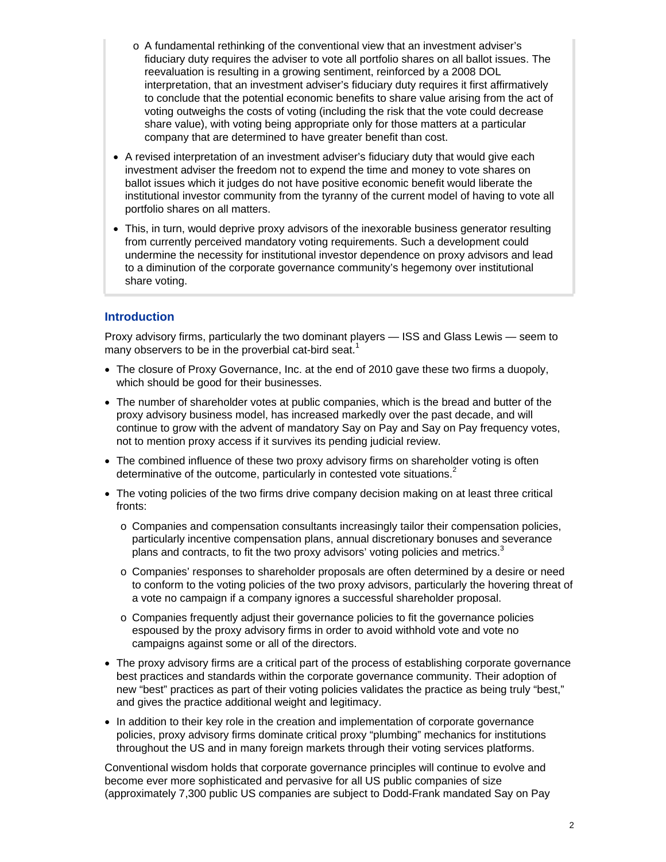- $\circ$  A fundamental rethinking of the conventional view that an investment adviser's fiduciary duty requires the adviser to vote all portfolio shares on all ballot issues. The reevaluation is resulting in a growing sentiment, reinforced by a 2008 DOL interpretation, that an investment adviser's fiduciary duty requires it first affirmatively to conclude that the potential economic benefits to share value arising from the act of voting outweighs the costs of voting (including the risk that the vote could decrease share value), with voting being appropriate only for those matters at a particular company that are determined to have greater benefit than cost.
- A revised interpretation of an investment adviser's fiduciary duty that would give each institutional investor community from the tyranny of the current model of having to vote all investment adviser the freedom not to expend the time and money to vote shares on ballot issues which it judges do not have positive economic benefit would liberate the portfolio shares on all matters.
- This, in turn, would deprive proxy advisors of the inexorable business generator resulting from currently perceived mandatory voting requirements. Such a development could undermine the necessity for institutional investor dependence on proxy advisors and lead to a diminution of the corporate governance community's hegemony over institutional share voting.

## **Introduction**

Proxy advisory firms, particularly the two dominant players — ISS and Glass Lewis — seem to many observers to be in the proverbial cat-bird seat.<sup>1</sup>

- The closure of Proxy Governance, Inc. at the end of 2010 gave these two firms a duopoly, which should be good for their businesses.
- The number of shareholder votes at public companies, which is the bread and butter of the continue to grow with the advent of mandatory Say on Pay and Say on Pay frequency votes, proxy advisory business model, has increased markedly over the past decade, and will not to mention proxy access if it survives its pending judicial review.
- The combined influence of these two proxy advisory firms on shareholder voting is often determinative of the outcome, particularly in contested vote situations.<sup>2</sup>
- The voting policies of the two firms drive company decision making on at least three critical fronts:
	- $\circ$  Companies and compensation consultants increasingly tailor their compensation policies, particularly incentive compensation plans, annual discretionary bonuses and severance plans and contracts, to fit the two proxy advisors' voting policies and metrics.<sup>3</sup>
	- $\circ$  Companies' responses to shareholder proposals are often determined by a desire or need to conform to the voting policies of the two proxy advisors, particularly the hovering threat of a vote no campaign if a company ignores a successful shareholder proposal.
	- $\circ$  Companies frequently adjust their governance policies to fit the governance policies espoused by the proxy advisory firms in order to avoid withhold vote and vote no campaigns against some or all of the directors.
- The proxy advisory firms are a critical part of the process of establishing corporate governance best practices and standards within the corporate governance community. Their adoption of new "best" practices as part of their voting policies validates the practice as being truly "best," and gives the practice additional weight and legitimacy.
- In addition to their key role in the creation and implementation of corporate governance policies, proxy advisory firms dominate critical proxy "plumbing" mechanics for institutions throughout the US and in many foreign markets through their voting services platforms.

Conventional wisdom holds that corporate governance principles will continue to evolve and become ever more sophisticated and pervasive for all US public companies of size (approximately 7,300 public US companies are subject to Dodd-Frank mandated Say on Pay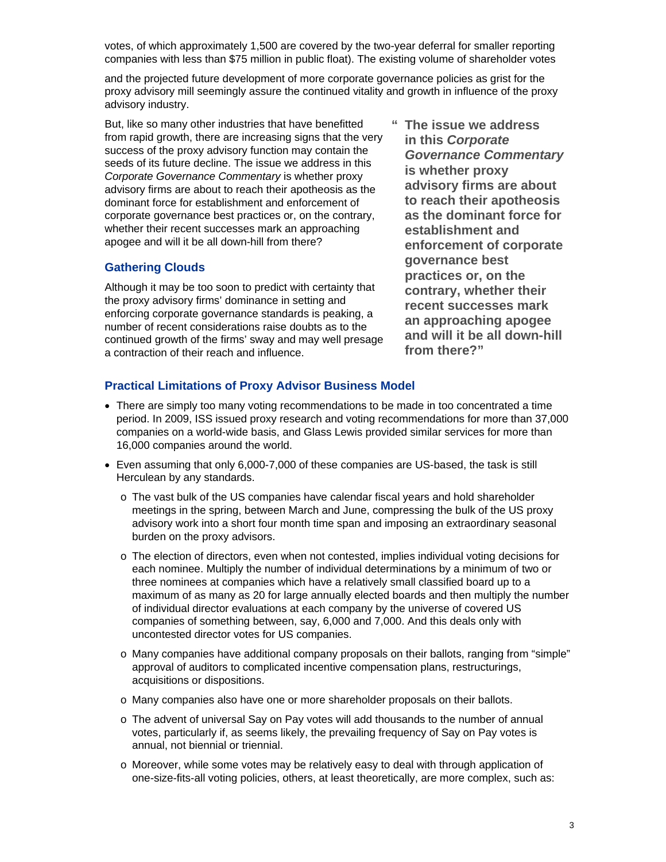votes, of which approximately 1,500 are covered by the two-year deferral for smaller reporting companies with less than \$75 million in public float). The existing volume of shareholder votes

and the projected future development of more corporate governance policies as grist for the proxy advisory mill seemingly assure the continued vitality and growth in influence of the proxy advisory industry.

from rapid growth, there are increasing signs that the very But, like so many other industries that have benefitted success of the proxy advisory function may contain the seeds of its future decline. The issue we address in this *Corporate Governance Commentary* is whether proxy advisory firms are about to reach their apotheosis as the dominant force for establishment and enforcement of corporate governance best practices or, on the contrary, whether their recent successes mark an approaching apogee and will it be all down-hill from there?

#### **Gathering Clouds**

Although it may be too soon to predict with certainty that the proxy advisory firms' dominance in setting and number of recent considerations raise doubts as to the enforcing corporate governance standards is peaking, a continued growth of the firms' sway and may well presage a contraction of their reach and influence.

*Governance Commentary* **contrary, whether their** and will it be all down-hill **" The issue we address in this** *Corporate*  **is whether proxy advisory firms are about to reach their apotheosis as the dominant force for establishment and enforcement of corporate governance best practices or, on the recent successes mark an approaching apogee from there?"** 

## **Practical Limitations of Proxy Advisor Business Model**

- There are simply too many voting recommendations to be made in too concentrated a time period. In 2009, ISS issued proxy research and voting recommendations for more than 37,000 companies on a world-wide basis, and Glass Lewis provided similar services for more than 16,000 companies around the world.
- Even assuming that only 6,000-7,000 of these companies are US-based, the task is still Herculean by any standards.
	- meetings in the spring, between March and June, compressing the bulk of the US proxy advisory work into a short four month time span and imposing an extraordinary seasonal o The vast bulk of the US companies have calendar fiscal years and hold shareholder burden on the proxy advisors.
	- each nominee. Multiply the number of individual determinations by a minimum of two or maximum of as many as 20 for large annually elected boards and then multiply the number o The election of directors, even when not contested, implies individual voting decisions for three nominees at companies which have a relatively small classified board up to a of individual director evaluations at each company by the universe of covered US companies of something between, say, 6,000 and 7,000. And this deals only with uncontested director votes for US companies.
	- o Many companies have additional company proposals on their ballots, ranging from "simple" approval of auditors to complicated incentive compensation plans, restructurings, acquisitions or dispositions.
	- o Many companies also have one or more shareholder proposals on their ballots.
	- $\circ$  The advent of universal Say on Pay votes will add thousands to the number of annual votes, particularly if, as seems likely, the prevailing frequency of Say on Pay votes is annual, not biennial or triennial.
	- o Moreover, while some votes may be relatively easy to deal with through application of one-size-fits-all voting policies, others, at least theoretically, are more complex, such as: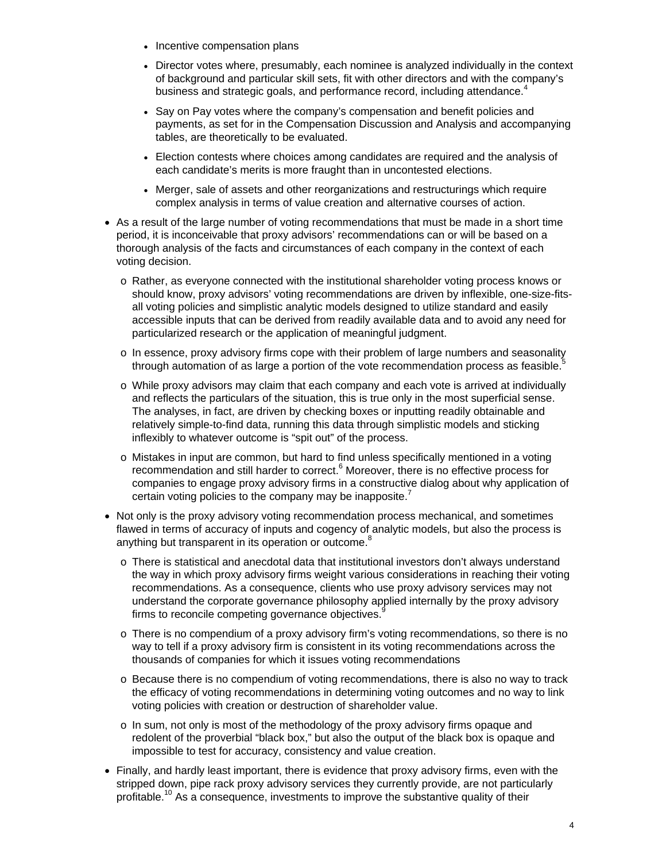- Incentive compensation plans
- Director votes where, presumably, each nominee is analyzed individually in the context of background and particular skill sets, fit with other directors and with the company's business and strategic goals, and performance record, including attendance. $4$
- payments, as set for in the Compensation Discussion and Analysis and accompanying • Say on Pay votes where the company's compensation and benefit policies and tables, are theoretically to be evaluated.
- Election contests where choices among candidates are required and the analysis of each candidate's merits is more fraught than in uncontested elections.
- Merger, sale of assets and other reorganizations and restructurings which require complex analysis in terms of value creation and alternative courses of action.
- As a result of the large number of voting recommendations that must be made in a short time period, it is inconceivable that proxy advisors' recommendations can or will be based on a thorough analysis of the facts and circumstances of each company in the context of each voting decision.
	- $\circ$  Rather, as everyone connected with the institutional shareholder voting process knows or - should know, proxy advisors' voting recommendations are driven by inflexible, one-size-fits all voting policies and simplistic analytic models designed to utilize standard and easily accessible inputs that can be derived from readily available data and to avoid any need for particularized research or the application of meaningful judgment.
	- $\circ$  In essence, proxy advisory firms cope with their problem of large numbers and seasonality through automation of as large a portion of the vote recommendation process as feasible.<sup>5</sup>
	- o While proxy advisors may claim that each company and each vote is arrived at individually and reflects the particulars of the situation, this is true only in the most superficial sense. The analyses, in fact, are driven by checking boxes or inputting readily obtainable and relatively simple-to-find data, running this data through simplistic models and sticking inflexibly to whatever outcome is "spit out" of the process.
	- $\circ$  Mistakes in input are common, but hard to find unless specifically mentioned in a voting companies to engage proxy advisory firms in a constructive dialog about why application of recommendation and still harder to correct.<sup>6</sup> Moreover, there is no effective process for certain voting policies to the company may be inapposite.<sup>7</sup>
- Not only is the proxy advisory voting recommendation process mechanical, and sometimes flawed in terms of accuracy of inputs and cogency of analytic models, but also the process is anything but transparent in its operation or outcome.<sup>8</sup>
	- $\circ$  There is statistical and anecdotal data that institutional investors don't always understand the way in which proxy advisory firms weight various considerations in reaching their voting recommendations. As a consequence, clients who use proxy advisory services may not understand the corporate governance philosophy applied internally by the proxy advisory firms to reconcile competing governance objectives.<sup>8</sup>
	- $\circ$  There is no compendium of a proxy advisory firm's voting recommendations, so there is no way to tell if a proxy advisory firm is consistent in its voting recommendations across the thousands of companies for which it issues voting recommendations
	- $\circ$  Because there is no compendium of voting recommendations, there is also no way to track the efficacy of voting recommendations in determining voting outcomes and no way to link voting policies with creation or destruction of shareholder value.
	- $\circ$  In sum, not only is most of the methodology of the proxy advisory firms opaque and redolent of the proverbial "black box," but also the output of the black box is opaque and impossible to test for accuracy, consistency and value creation.
- Finally, and hardly least important, there is evidence that proxy advisory firms, even with the stripped down, pipe rack proxy advisory services they currently provide, are not particularly profitable.<sup>10</sup> As a consequence, investments to improve the substantive quality of their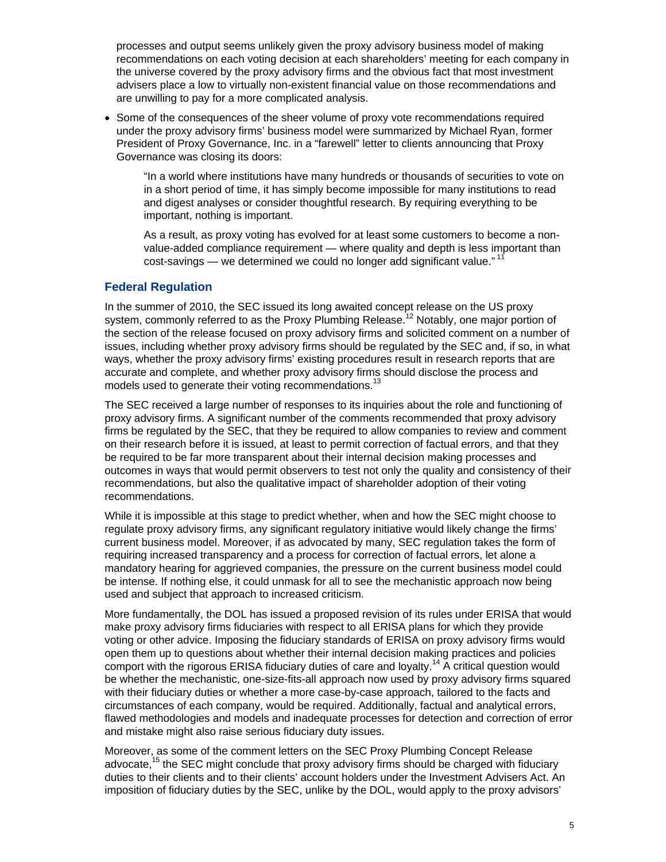recommendations on each voting decision at each shareholders' meeting for each company in the universe covered by the proxy advisory firms and the obvious fact that most investment processes and output seems unlikely given the proxy advisory business model of making advisers place a low to virtually non-existent financial value on those recommendations and are unwilling to pay for a more complicated analysis.

under the proxy advisory firms' business model were summarized by Michael Ryan, former • Some of the consequences of the sheer volume of proxy vote recommendations required President of Proxy Governance, Inc. in a "farewell" letter to clients announcing that Proxy Governance was closing its doors:

"In a world where institutions have many hundreds or thousands of securities to vote on in a short period of time, it has simply become impossible for many institutions to read and digest analyses or consider thoughtful research. By requiring everything to be important, nothing is important.

As a result, as proxy voting has evolved for at least some customers to become a nonvalue-added compliance requirement — where quality and depth is less important than cost-savings — we determined we could no longer add significant value." $11$ 

#### **Federal Regulation**

In the summer of 2010, the SEC issued its long awaited concept release on the US proxy system, commonly referred to as the Proxy Plumbing Release.<sup>12</sup> Notably, one major portion of the section of the release focused on proxy advisory firms and solicited comment on a number of issues, including whether proxy advisory firms should be regulated by the SEC and, if so, in what ways, whether the proxy advisory firms' existing procedures result in research reports that are accurate and complete, and whether proxy advisory firms should disclose the process and models used to generate their voting recommendations.<sup>13</sup>

The SEC received a large number of responses to its inquiries about the role and functioning of proxy advisory firms. A significant number of the comments recommended that proxy advisory outcomes in ways that would permit observers to test not only the quality and consistency of their firms be regulated by the SEC, that they be required to allow companies to review and comment on their research before it is issued, at least to permit correction of factual errors, and that they be required to be far more transparent about their internal decision making processes and recommendations, but also the qualitative impact of shareholder adoption of their voting recommendations.

While it is impossible at this stage to predict whether, when and how the SEC might choose to regulate proxy advisory firms, any significant regulatory initiative would likely change the firms' current business model. Moreover, if as advocated by many, SEC regulation takes the form of requiring increased transparency and a process for correction of factual errors, let alone a mandatory hearing for aggrieved companies, the pressure on the current business model could be intense. If nothing else, it could unmask for all to see the mechanistic approach now being used and subject that approach to increased criticism.

More fundamentally, the DOL has issued a proposed revision of its rules under ERISA that would make proxy advisory firms fiduciaries with respect to all ERISA plans for which they provide open them up to questions about whether their internal decision making practices and policies be whether the mechanistic, one-size-fits-all approach now used by proxy advisory firms squared flawed methodologies and models and inadequate processes for detection and correction of error voting or other advice. Imposing the fiduciary standards of ERISA on proxy advisory firms would comport with the rigorous ERISA fiduciary duties of care and loyalty.<sup>14</sup> A critical question would with their fiduciary duties or whether a more case-by-case approach, tailored to the facts and circumstances of each company, would be required. Additionally, factual and analytical errors, and mistake might also raise serious fiduciary duty issues.

advocate,<sup>15</sup> the SEC might conclude that proxy advisory firms should be charged with fiduciary duties to their clients and to their clients' account holders under the Investment Advisers Act. An Moreover, as some of the comment letters on the SEC Proxy Plumbing Concept Release imposition of fiduciary duties by the SEC, unlike by the DOL, would apply to the proxy advisors'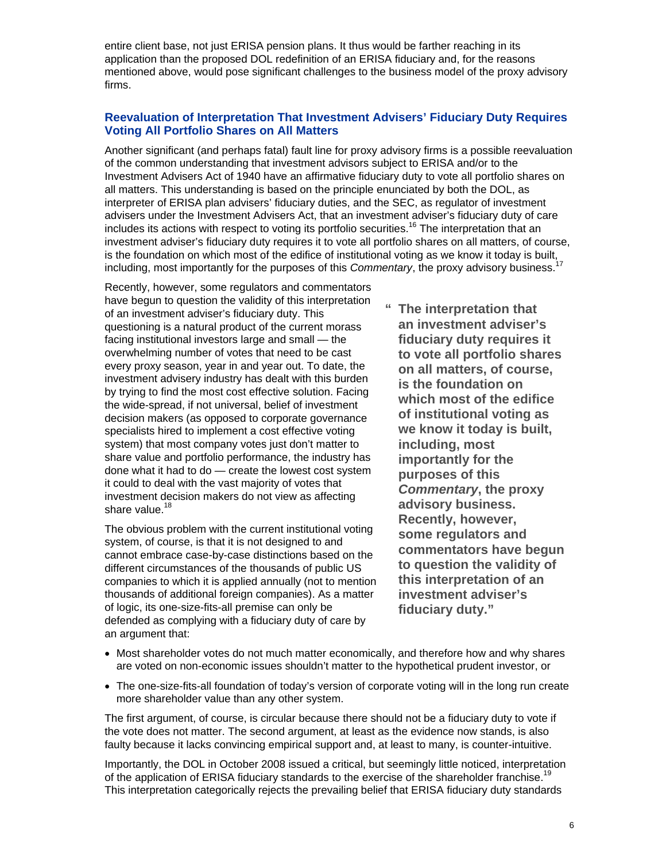mentioned above, would pose significant challenges to the business model of the proxy advisory entire client base, not just ERISA pension plans. It thus would be farther reaching in its application than the proposed DOL redefinition of an ERISA fiduciary and, for the reasons firms.

#### **Reevaluation of Interpretation That Investment Advisers' Fiduciary Duty Requires Voting All Portfolio Shares on All Matters**

Another significant (and perhaps fatal) fault line for proxy advisory firms is a possible reevaluation of the common understanding that investment advisors subject to ERISA and/or to the all matters. This understanding is based on the principle enunciated by both the DOL, as advisers under the Investment Advisers Act, that an investment adviser's fiduciary duty of care investment adviser's fiduciary duty requires it to vote all portfolio shares on all matters, of course, is the foundation on which most of the edifice of institutional voting as we know it today is built, Investment Advisers Act of 1940 have an affirmative fiduciary duty to vote all portfolio shares on interpreter of ERISA plan advisers' fiduciary duties, and the SEC, as regulator of investment includes its actions with respect to voting its portfolio securities.<sup>16</sup> The interpretation that an including, most importantly for the purposes of this *Commentary*, the proxy advisory business.17

facing institutional investors large and small - the every proxy season, year in and year out. To date, the investment advisery industry has dealt with this burden share value and portfolio performance, the industry has Recently, however, some regulators and commentators have begun to question the validity of this interpretation of an investment adviser's fiduciary duty. This questioning is a natural product of the current morass overwhelming number of votes that need to be cast by trying to find the most cost effective solution. Facing the wide-spread, if not universal, belief of investment decision makers (as opposed to corporate governance specialists hired to implement a cost effective voting system) that most company votes just don't matter to done what it had to do — create the lowest cost system it could to deal with the vast majority of votes that investment decision makers do not view as affecting share value.<sup>18</sup>

The obvious problem with the current institutional voting system, of course, is that it is not designed to and different circumstances of the thousands of public US thousands of additional foreign companies). As a matter cannot embrace case-by-case distinctions based on the companies to which it is applied annually (not to mention of logic, its one-size-fits-all premise can only be defended as complying with a fiduciary duty of care by an argument that:

**" The interpretation that s to vote all portfolio share** *Commentary*, the proxy **commentators have begun an investment adviser's fiduciary duty requires it on all matters, of course, is the foundation on which most of the edifice of institutional voting as we know it today is built, including, most importantly for the purposes of this advisory business. Recently, however, some regulators and to question the validity of this interpretation of an investment adviser's fiduciary duty."** 

- Most shareholder votes do not much matter economically, and therefore how and why shares are voted on non-economic issues shouldn't matter to the hypothetical prudent investor, or
- The one-size-fits-all foundation of today's version of corporate voting will in the long run create more shareholder value than any other system.

the vote does not matter. The second argument, at least as the evidence now stands, is also The first argument, of course, is circular because there should not be a fiduciary duty to vote if faulty because it lacks convincing empirical support and, at least to many, is counter-intuitive.

Importantly, the DOL in October 2008 issued a critical, but seemingly little noticed, interpretation of the application of ERISA fiduciary standards to the exercise of the shareholder franchise.<sup>19</sup> This interpretation categorically rejects the prevailing belief that ERISA fiduciary duty standards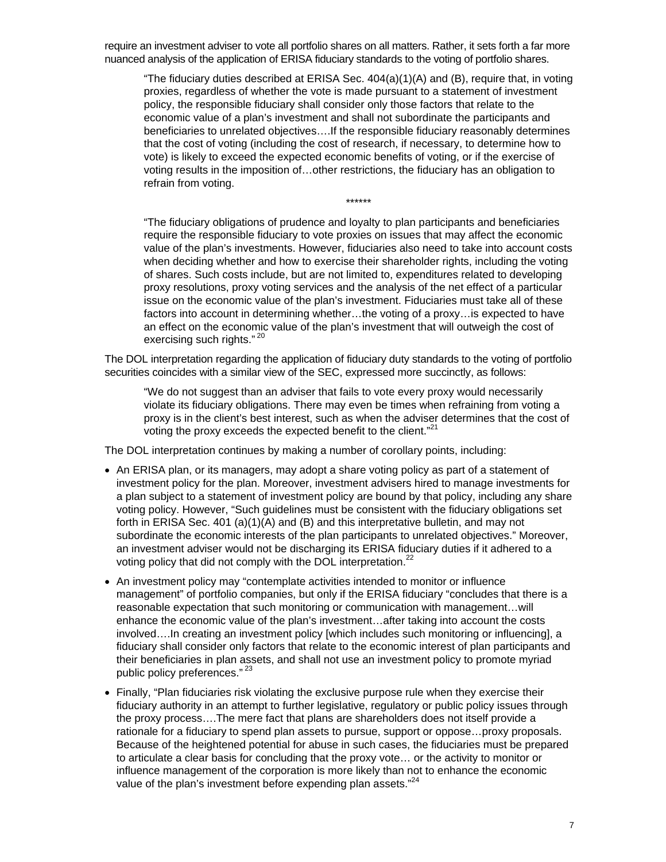require an investment adviser to vote all portfolio shares on all matters. Rather, it sets forth a far more nuanced analysis of the application of ERISA fiduciary standards to the voting of portfolio shares.

proxies, regardless of whether the vote is made pursuant to a statement of investment beneficiaries to unrelated objectives....If the responsible fiduciary reasonably determines that the cost of voting (including the cost of research, if necessary, to determine how to "The fiduciary duties described at ERISA Sec. 404(a)(1)(A) and (B), require that, in voting policy, the responsible fiduciary shall consider only those factors that relate to the economic value of a plan's investment and shall not subordinate the participants and vote) is likely to exceed the expected economic benefits of voting, or if the exercise of voting results in the imposition of…other restrictions, the fiduciary has an obligation to refrain from voting.

\*\*\*\*\*\*

"The fiduciary obligations of prudence and loyalty to plan participants and beneficiaries require the responsible fiduciary to vote proxies on issues that may affect the economic value of the plan's investments. However, fiduciaries also need to take into account costs when deciding whether and how to exercise their shareholder rights, including the voting of shares. Such costs include, but are not limited to, expenditures related to developing proxy resolutions, proxy voting services and the analysis of the net effect of a particular issue on the economic value of the plan's investment. Fiduciaries must take all of these factors into account in determining whether...the voting of a proxy... is expected to have an effect on the economic value of the plan's investment that will outweigh the cost of exercising such rights."<sup>20</sup>

The DOL interpretation regarding the application of fiduciary duty standards to the voting of portfolio securities coincides with a similar view of the SEC, expressed more succinctly, as follows:

violate its fiduciary obligations. There may even be times when refraining from voting a proxy is in the client's best interest, such as when the adviser determines that the cost of "We do not suggest than an adviser that fails to vote every proxy would necessarily voting the proxy exceeds the expected benefit to the client."<sup>21</sup>

The DO L interpretation continues by making a number of corollary points, including:

- An ERISA plan, or its managers, may adopt a share voting policy as part of a statement of investment policy for the plan. Moreover, investment advisers hired to manage investments for a plan subject to a statement of investment policy are bound by that policy, including any share an investment adviser would not be discharging its ERISA fiduciary duties if it adhered to a voting policy. However, "Such guidelines must be consistent with the fiduciary obligations set forth in ERISA Sec. 401 (a)(1)(A) and (B) and this interpretative bulletin, and may not subordinate the economic interests of the plan participants to unrelated objectives." Moreover, voting policy that did not comply with the DOL interpretation.<sup>22</sup>
- management" of portfolio companies, but only if the ERISA fiduciary "concludes that there is a reasonable expectation that such monitoring or communication with management...will involved....In creating an investment policy [which includes such monitoring or influencing], a fiduciary shall consider only factors that relate to the economic interest of plan participants and An investment policy may "contemplate activities intended to monitor or influence enhance the economic value of the plan's investment…after taking into account the costs their beneficiaries in plan assets, and shall not use an investment policy to promote myriad public policy preferences."<sup>23</sup>
- fiduciary authority in an attempt to further legislative, regulatory or public policy issues through Because of the heightened potential for abuse in such cases, the fiduciaries must be prepared • Finally, "Plan fiduciaries risk violating the exclusive purpose rule when they exercise their the proxy process….The mere fact that plans are shareholders does not itself provide a rationale for a fiduciary to spend plan assets to pursue, support or oppose…proxy proposals. to articulate a clear basis for concluding that the proxy vote… or the activity to monitor or influence management of the corporation is more likely than not to enhance the economic value of the plan's investment before expending plan assets."<sup>24</sup>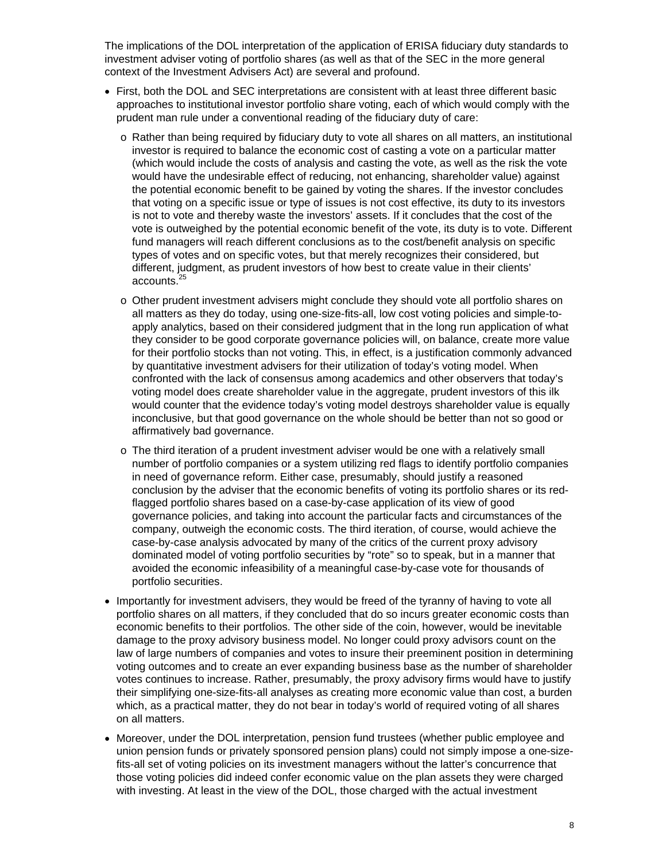The implications of the DOL interpretation of the application of ERISA fiduciary duty standards to investment adviser voting of portfolio shares (as well as that of the SEC in the more general context of the Investment Advisers Act) are several and profound.

- First, both the DOL and SEC interpretations are consistent with at least three different basic approaches to institutional investor portfolio share voting, each of which would comply with the prudent man rule under a conventional reading of the fiduciary duty of care:
	- $\circ$  Rather than being required by fiduciary duty to vote all shares on all matters, an institutional investor is required to balance the economic cost of casting a vote on a particular matter (which would include the costs of analysis and casting the vote, as well as the risk the vote would have the undesirable effect of reducing, not enhancing, shareholder value) against the potential economic benefit to be gained by voting the shares. If the investor concludes that voting on a specific issue or type of issues is not cost effective, its duty to its investors is not to vote and thereby waste the investors' assets. If it concludes that the cost of the vote is outweighed by the potential economic benefit of the vote, its duty is to vote. Different fund managers will reach different conclusions as to the cost/benefit analysis on specific types of votes and on specific votes, but that merely recognizes their considered, but different, judgment, as prudent investors of how best to create value in their clients' accounts.<sup>25</sup>
	- $\circ$  Other prudent investment advisers might conclude they should vote all portfolio shares on all matters as they do today, using one-size-fits-all, low cost voting policies and simple-toapply analytics, based on their considered judgment that in the long run application of what they consider to be good corporate governance policies will, on balance, create more value for their portfolio stocks than not voting. This, in effect, is a justification commonly advanced by quantitative investment advisers for their utilization of today's voting model. When confronted with the lack of consensus among academics and other observers that today's voting model does create shareholder value in the aggregate, prudent investors of this ilk would counter that the evidence today's voting model destroys shareholder value is equally inconclusive, but that good governance on the whole should be better than not so good or affirmatively bad governance.
	- $\circ$  The third iteration of a prudent investment adviser would be one with a relatively small number of portfolio companies or a system utilizing red flags to identify portfolio companies in need of governance reform. Either case, presumably, should justify a reasoned conclusion by the adviser that the economic benefits of voting its portfolio shares or its redflagged portfolio shares based on a case-by-case application of its view of good governance policies, and taking into account the particular facts and circumstances of the company, outweigh the economic costs. The third iteration, of course, would achieve the case-by-case analysis advocated by many of the critics of the current proxy advisory dominated model of voting portfolio securities by "rote" so to speak, but in a manner that avoided the economic infeasibility of a meaningful case-by-case vote for thousands of portfolio securities.
- Importantly for investment advisers, they would be freed of the tyranny of having to vote all portfolio shares on all matters, if they concluded that do so incurs greater economic costs than law of large numbers of companies and votes to insure their preeminent position in determining economic benefits to their portfolios. The other side of the coin, however, would be inevitable damage to the proxy advisory business model. No longer could proxy advisors count on the voting outcomes and to create an ever expanding business base as the number of shareholder votes continues to increase. Rather, presumably, the proxy advisory firms would have to justify their simplifying one-size-fits-all analyses as creating more economic value than cost, a burden which, as a practical matter, they do not bear in today's world of required voting of all shares on all matters.
- Moreover, under the DOL interpretation, pension fund trustees (whether public employee and - union pension funds or privately sponsored pension plans) could not simply impose a one-size fits-all set of voting policies on its investment managers without the latter's concurrence that those voting policies did indeed confer economic value on the plan assets they were charged with investing. At least in the view of the DOL, those charged with the actual investment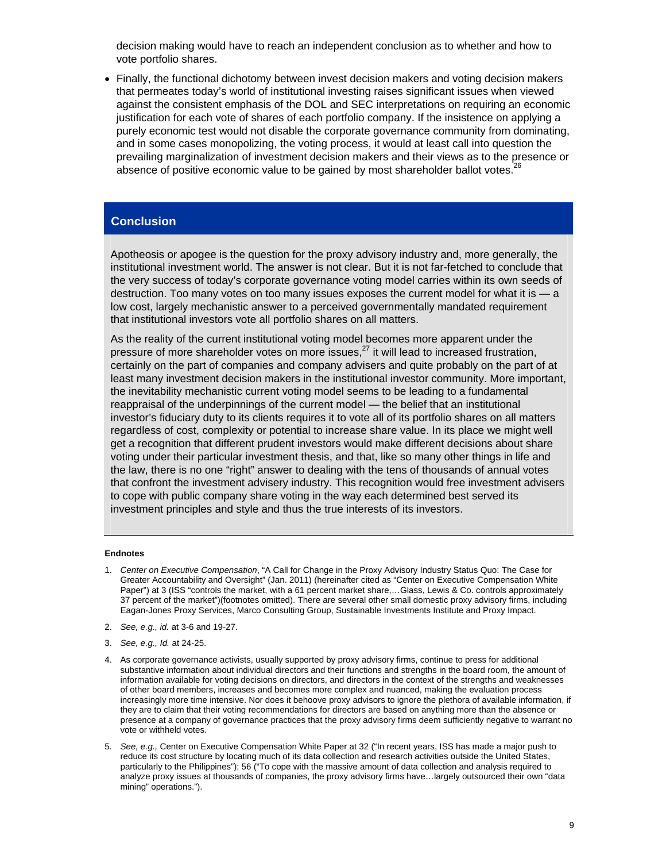decision making would have to reach an independent conclusion as to whether and how to vote portfolio shares.

• Finally, the functional dichotomy between invest decision makers and voting decision makers against the consistent emphasis of the DOL and SEC interpretations on requiring an economic , purely economic test would not disable the corporate governance community from dominating prevailing marginalization of investment decision makers and their views as to the presence or that permeates today's world of institutional investing raises significant issues when viewed justification for each vote of shares of each portfolio company. If the insistence on applying a and in some cases monopolizing, the voting process, it would at least call into question the absence of positive economic value to be gained by most shareholder ballot votes.<sup>26</sup>

#### **Conclusion**

Apotheosis or apogee is the question for the proxy advisory industry and, more generally, the institutional investment world. The answer is not clear. But it is not far-fetched to conclude that the very success of today's corporate governance voting model carries within its own seeds of destruction. Too many votes on too many issues exposes the current model for what it is — a low cost, largely mechanistic answer to a perceived governmentally mandated requirement that institutional investors vote all portfolio shares on all matters.

As the reality of the current institutional voting model becomes more apparent under the pressure of more shareholder votes on more issues, $^{27}$  it will lead to increased frustration, certainly on the part of companies and company advisers and quite probably on the part of at least many investment decision makers in the institutional investor community. More important, the inevitability mechanistic current voting model seems to be leading to a fundamental reappraisal of the underpinnings of the current model — the belief that an institutional investor's fiduciary duty to its clients requires it to vote all of its portfolio shares on all matters regardless of cost, complexity or potential to increase share value. In its place we might well get a recognition that different prudent investors would make different decisions about share voting under their particular investment thesis, and that, like so many other things in life and the law, there is no one "right" answer to dealing with the tens of thousands of annual votes that confront the investment advisery industry. This recognition would free investment advisers to cope with public company share voting in the way each determined best served its investment principles and style and thus the true interests of its investors.

#### **Endnotes**

- *on Executive Compensation*, "A Call for Change in the Proxy Advisory Industry Status Quo: The Case for 1. *Center*  Greater Accountability and Oversight" (Jan. 2011) (hereinafter cited as "Center on Executive Compensation White Paper") at 3 (ISS "controls the market, with a 61 percent market share,…Glass, Lewis & Co. controls approximately 37 percent of the market")(footnotes omitted). There are several other small domestic proxy advisory firms, including Eagan-Jones Proxy Services, Marco Consulting Group, Sustainable Investments Institute and Proxy Impact.
- 2. *See, e.g., id.* at 3-6 and 19-27.
- 3. *See, e.g., Id.* at 24-25.
- 4. As corporate governance activists, usually supported by proxy advisory firms, continue to press for additional substantive information about individual directors and their functions and strengths in the board room, the amount of increasingly more time intensive. Nor does it behoove proxy advisors to ignore the plethora of available information, if information available for voting decisions on directors, and directors in the context of the strengths and weaknesses of other board members, increases and becomes more complex and nuanced, making the evaluation process they are to claim that their voting recommendations for directors are based on anything more than the absence or presence at a company of governance practices that the proxy advisory firms deem sufficiently negative to warrant no vote or withheld votes.
- 5. See, e.g., Center on Executive Compensation White Paper at 32 ("In recent years, ISS has made a major push to reduce its cost structure by locating much of its data collection and research activities outside the United States, particularly to the Philippines"); 56 ("To cope with the massive amount of data collection and analysis required to analyze proxy issues at thousands of companies, the proxy advisory firms have…largely outsourced their own "data mining" operations.").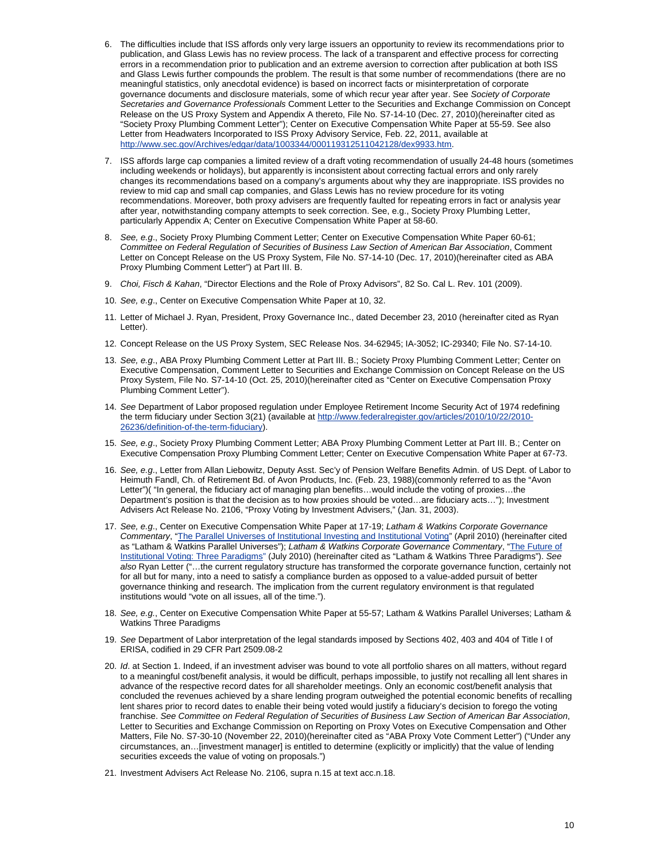- 6. The difficulties include that ISS affords only very large issuers an opportunity to review its recommendations prior to Secretaries and Governance Professionals Comment Letter to the Securities and Exchange Commission on Concept publication, and Glass Lewis has no review process. The lack of a transparent and effective process for correcting errors in a recommendation prior to publication and an extreme aversion to correction after publication at both ISS and Glass Lewis further compounds the problem. The result is that some number of recommendations (there are no meaningful statistics, only anecdotal evidence) is based on incorrect facts or misinterpretation of corporate governance documents and disclosure materials, some of which recur year after year. See *Society of Corporate*  Release on the US Proxy System and Appendix A thereto, File No. S7-14-10 (Dec. 27, 2010)(hereinafter cited as "Society Proxy Plumbing Comment Letter"); Center on Executive Compensation White Paper at 55-59. See also Letter from Headwaters Incorporated to ISS Proxy Advisory Service, Feb. 22, 2011, available at <http://www.sec.gov/Archives/edgar/data/1003344/000119312511042128/dex9933.htm>.
- 7. ISS affords large cap companies a limited review of a draft voting recommendation of usually 24-48 hours (sometimes including weekends or holidays), but apparently is inconsistent about correcting factual errors and only rarely changes its recommendations based on a company's arguments about why they are inappropriate. ISS provides no review to mid cap and small cap companies, and Glass Lewis has no review procedure for its voting recommendations. Moreover, both proxy advisers are frequently faulted for repeating errors in fact or analysis year after year, notwithstanding company attempts to seek correction. See, e.g., Society Proxy Plumbing Letter, particularly Appendix A; Center on Executive Compensation White Paper at 58-60.
- 8. See, e.g., Society Proxy Plumbing Comment Letter; Center on Executive Compensation White Paper 60-61; *Committee on Federal Regulation of Securities of Business Law Section of American Bar Association*, Comment Letter on Concept Release on the US Proxy System, File No. S7-14-10 (Dec. 17, 2010)(hereinafter cited as ABA Proxy Plumbing Comment Letter") at Part III. B.
- 9. Choi, Fisch & Kahan, "Director Elections and the Role of Proxy Advisors", 82 So. Cal L. Rev. 101 (2009).
- 10. *See, e.g*., Center on Executive Compensation White Paper at 10, 32.
- 11. Letter of Michael J. Ryan, President, Proxy Governance Inc., dated December 23, 2010 (hereinafter cited as Ryan Letter).
- 12. Concept Release on the US Proxy System, SEC Release Nos. 34-62945; IA-3052; IC-29340; File No. S7-14-10.
- 13. See, e.g., ABA Proxy Plumbing Comment Letter at Part III. B.; Society Proxy Plumbing Comment Letter; Center on Executive Compensation, Comment Letter to Securities and Exchange Commission on Concept Release on the US Proxy System, File No. S7-14-10 (Oct. 25, 2010)(hereinafter cited as "Center on Executive Compensation Proxy Plumbing Comment Letter").
- 14. See Department of Labor proposed regulation under Employee Retirement Income Security Act of 1974 redefining the term fiduciary under Section 3(21) (available at [http://www.federalregister.gov/articles/2010/10/22/2010-](http://www.federalregister.gov/articles/2010/10/22/2010-26236/definition-of-the-term-fiduciary) [26236/definition-of-the-term-fiduciary](http://www.federalregister.gov/articles/2010/10/22/2010-26236/definition-of-the-term-fiduciary)).
- 15. *See, e.g*., Society Proxy Plumbing Comment Letter; ABA Proxy Plumbing Comment Letter at Part III. B.; Center on . Executive Compensation Proxy Plumbing Comment Letter; Center on Executive Compensation White Paper at 67-73
- 16. *See, e.g*., Letter from Allan Liebowitz, Deputy Asst. Sec'y of Pension Welfare Benefits Admin. of US Dept. of Labor to Heimuth Fandl, Ch. of Retirement Bd. of Avon Products, Inc. (Feb. 23, 1988)(commonly referred to as the "Avon Letter")( "In general, the fiduciary act of managing plan benefits…would include the voting of proxies…the Department's position is that the decision as to how proxies should be voted…are fiduciary acts…"); Investment Advisers Act Release No. 2106, "Proxy Voting by Investment Advisers," (Jan. 31, 2003).
- 17. *See, e.g.*, Center on Executive Compensation White Paper at 17-19; *Latham & Watkins Corporate Governance Commentary*, "[The Parallel Universes of Institutional Investing and Institutional Voting](http://www.lw.com/upload/pubContent/_pdf/pub3446_1.pdf)" (April 2010) (hereinafter ci ted as "Latham & Watkins Parallel Universes"); *Latham & Watkins Corporate Governance Commentary*, " [The Future of](http://www.lw.com/upload/pubContent/_pdf/pub3617_1.pdf)  [Institutional Voting: Three Paradigms"](http://www.lw.com/upload/pubContent/_pdf/pub3617_1.pdf) (July 2010) (hereinafter cited as "Latham & Watkins Three Paradigms"). *See*  also Ryan Letter ("...the current regulatory structure has transformed the corporate governance function, certainly not for all but for many, into a need to satisfy a compliance burden as opposed to a value-added pursuit of better governance thinking and research. The implication from the current regulatory environment is that regulated institutions would "vote on all issues, all of the time.").
- 18. See, e.g., Center on Executive Compensation White Paper at 55-57; Latham & Watkins Parallel Universes; Latham & Watkins Three Paradigms
- 19. See Department of Labor interpretation of the legal standards imposed by Sections 402, 403 and 404 of Title I of ERISA, codified in 29 CFR Part 2509.08-2
- 20. Id. at Section 1. Indeed, if an investment adviser was bound to vote all portfolio shares on all matters, without regard to a meaningful cost/benefit analysis, it would be difficult, perhaps impossible, to justify not recalling all lent shares in advance of the respective record dates for all shareholder meetings. Only an economic cost/benefit analysis that concluded the revenues achieved by a share lending program outweighed the potential economic benefits of recalling lent shares prior to record dates to enable their being voted would justify a fiduciary's decision to forego the voting franchise. *See Committee on Federal Regulation of Securities of Business Law Section of American Bar Association*, Letter to Securities and Exchange Commission on Reporting on Proxy Votes on Executive Compensation and Other Matters, File No. S7-30-10 (November 22, 2010)(hereinafter cited as "ABA Proxy Vote Comment Letter") ("Under any circumstances, an…[investment manager] is entitled to determine (explicitly or implicitly) that the value of lending securities exceeds the value of voting on proposals.")
- 21. Investment Advisers Act Release No. 2106, supra n.15 at text acc.n.18.